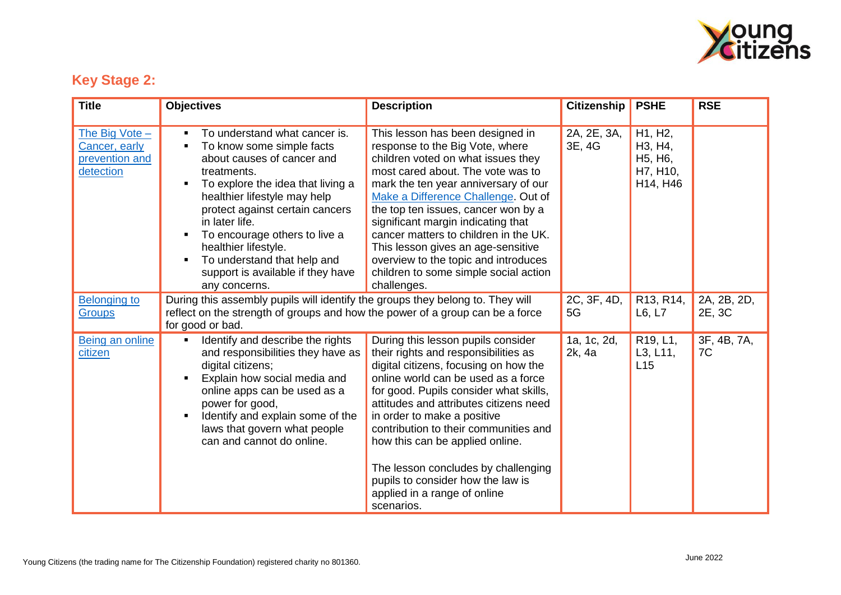

## **Key Stage 2:**

| <b>Title</b>                                                     | <b>Objectives</b>                                                                                                                                                                                                                                                                                                                                                                                           | <b>Description</b>                                                                                                                                                                                                                                                                                                                                                                                                                                                                        | <b>Citizenship</b>    | <b>PSHE</b>                                                                                               | <b>RSE</b>            |
|------------------------------------------------------------------|-------------------------------------------------------------------------------------------------------------------------------------------------------------------------------------------------------------------------------------------------------------------------------------------------------------------------------------------------------------------------------------------------------------|-------------------------------------------------------------------------------------------------------------------------------------------------------------------------------------------------------------------------------------------------------------------------------------------------------------------------------------------------------------------------------------------------------------------------------------------------------------------------------------------|-----------------------|-----------------------------------------------------------------------------------------------------------|-----------------------|
| The Big Vote $-$<br>Cancer, early<br>prevention and<br>detection | To understand what cancer is.<br>٠<br>To know some simple facts<br>٠<br>about causes of cancer and<br>treatments.<br>To explore the idea that living a<br>$\blacksquare$<br>healthier lifestyle may help<br>protect against certain cancers<br>in later life.<br>To encourage others to live a<br>healthier lifestyle.<br>To understand that help and<br>support is available if they have<br>any concerns. | This lesson has been designed in<br>response to the Big Vote, where<br>children voted on what issues they<br>most cared about. The vote was to<br>mark the ten year anniversary of our<br>Make a Difference Challenge. Out of<br>the top ten issues, cancer won by a<br>significant margin indicating that<br>cancer matters to children in the UK.<br>This lesson gives an age-sensitive<br>overview to the topic and introduces<br>children to some simple social action<br>challenges. | 2A, 2E, 3A,<br>3E, 4G | H1, H2,<br>H <sub>3</sub> , H <sub>4</sub> ,<br>H <sub>5</sub> , H <sub>6</sub> ,<br>H7, H10,<br>H14, H46 |                       |
| <b>Belonging to</b><br><b>Groups</b>                             | During this assembly pupils will identify the groups they belong to. They will<br>reflect on the strength of groups and how the power of a group can be a force<br>for good or bad.                                                                                                                                                                                                                         |                                                                                                                                                                                                                                                                                                                                                                                                                                                                                           | 2C, 3F, 4D,<br>5G     | R13, R14,<br>L6, L7                                                                                       | 2A, 2B, 2D,<br>2E, 3C |
| Being an online<br>citizen                                       | Identify and describe the rights<br>$\blacksquare$<br>and responsibilities they have as<br>digital citizens;<br>Explain how social media and<br>online apps can be used as a<br>power for good,<br>Identify and explain some of the<br>laws that govern what people<br>can and cannot do online.                                                                                                            | During this lesson pupils consider<br>their rights and responsibilities as<br>digital citizens, focusing on how the<br>online world can be used as a force<br>for good. Pupils consider what skills,<br>attitudes and attributes citizens need<br>in order to make a positive<br>contribution to their communities and<br>how this can be applied online.<br>The lesson concludes by challenging<br>pupils to consider how the law is<br>applied in a range of online<br>scenarios.       | 1a, 1c, 2d,<br>2k, 4a | R19, L1,<br>L3, L11,<br>L15                                                                               | 3F, 4B, 7A,<br>7C     |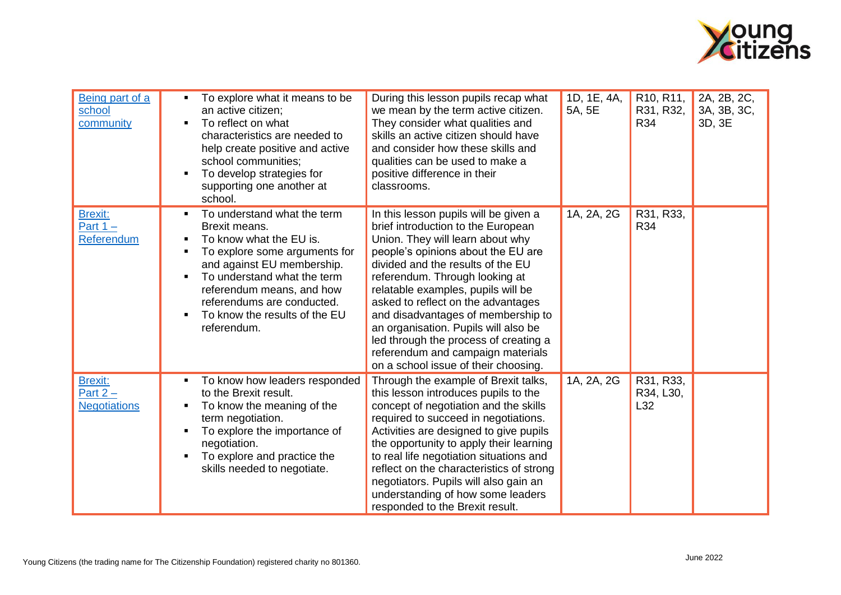

| Being part of a<br>school<br>community              | To explore what it means to be<br>an active citizen;<br>To reflect on what<br>characteristics are needed to<br>help create positive and active<br>school communities;<br>To develop strategies for<br>supporting one another at<br>school.                                       | During this lesson pupils recap what<br>we mean by the term active citizen.<br>They consider what qualities and<br>skills an active citizen should have<br>and consider how these skills and<br>qualities can be used to make a<br>positive difference in their<br>classrooms.                                                                                                                                                                                                                               | 1D, 1E, 4A,<br>5A, 5E | R <sub>10</sub> , R <sub>11</sub> ,<br>R31, R32,<br>R34 | 2A, 2B, 2C,<br>3A, 3B, 3C,<br>3D, 3E |
|-----------------------------------------------------|----------------------------------------------------------------------------------------------------------------------------------------------------------------------------------------------------------------------------------------------------------------------------------|--------------------------------------------------------------------------------------------------------------------------------------------------------------------------------------------------------------------------------------------------------------------------------------------------------------------------------------------------------------------------------------------------------------------------------------------------------------------------------------------------------------|-----------------------|---------------------------------------------------------|--------------------------------------|
| <b>Brexit:</b><br>Part $1 -$<br>Referendum          | To understand what the term<br>Brexit means.<br>To know what the EU is.<br>To explore some arguments for<br>and against EU membership.<br>To understand what the term<br>referendum means, and how<br>referendums are conducted.<br>To know the results of the EU<br>referendum. | In this lesson pupils will be given a<br>brief introduction to the European<br>Union. They will learn about why<br>people's opinions about the EU are<br>divided and the results of the EU<br>referendum. Through looking at<br>relatable examples, pupils will be<br>asked to reflect on the advantages<br>and disadvantages of membership to<br>an organisation. Pupils will also be<br>led through the process of creating a<br>referendum and campaign materials<br>on a school issue of their choosing. | 1A, 2A, 2G            | R31, R33,<br>R34                                        |                                      |
| <b>Brexit:</b><br>Part $2 -$<br><b>Negotiations</b> | To know how leaders responded<br>to the Brexit result.<br>To know the meaning of the<br>term negotiation.<br>To explore the importance of<br>negotiation.<br>To explore and practice the<br>skills needed to negotiate.                                                          | Through the example of Brexit talks,<br>this lesson introduces pupils to the<br>concept of negotiation and the skills<br>required to succeed in negotiations.<br>Activities are designed to give pupils<br>the opportunity to apply their learning<br>to real life negotiation situations and<br>reflect on the characteristics of strong<br>negotiators. Pupils will also gain an<br>understanding of how some leaders<br>responded to the Brexit result.                                                   | 1A, 2A, 2G            | R31, R33,<br>R34, L30,<br>L32                           |                                      |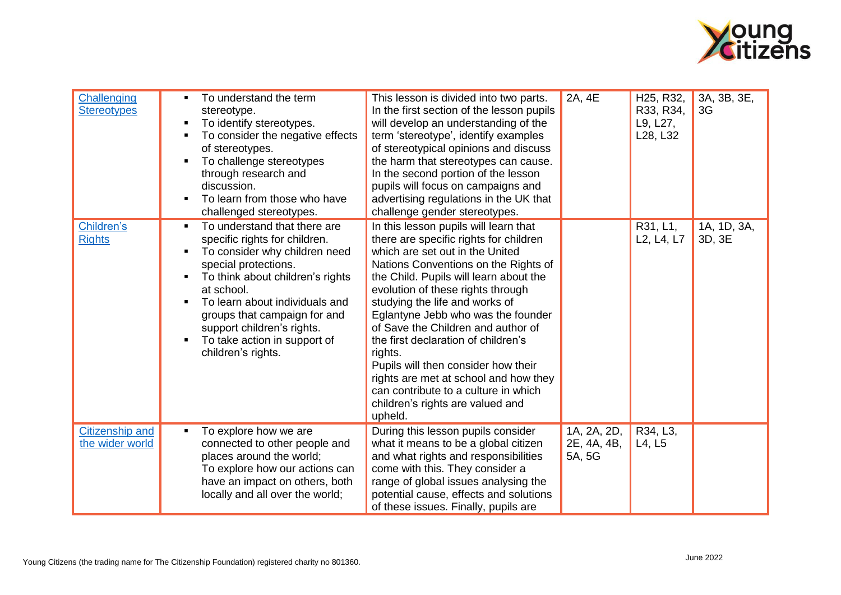

| Challenging<br><b>Stereotypes</b>         | To understand the term<br>stereotype.<br>To identify stereotypes.<br>To consider the negative effects<br>of stereotypes.<br>To challenge stereotypes<br>through research and<br>discussion.<br>To learn from those who have<br>challenged stereotypes.                                                                         | This lesson is divided into two parts.<br>In the first section of the lesson pupils<br>will develop an understanding of the<br>term 'stereotype', identify examples<br>of stereotypical opinions and discuss<br>the harm that stereotypes can cause.<br>In the second portion of the lesson<br>pupils will focus on campaigns and<br>advertising regulations in the UK that<br>challenge gender stereotypes.                                                                                                                                                                     | 2A, 4E                               | H <sub>25</sub> , R <sub>32</sub> ,<br>R33, R34,<br>L9, L27,<br>L28, L32 | 3A, 3B, 3E,<br>3G     |
|-------------------------------------------|--------------------------------------------------------------------------------------------------------------------------------------------------------------------------------------------------------------------------------------------------------------------------------------------------------------------------------|----------------------------------------------------------------------------------------------------------------------------------------------------------------------------------------------------------------------------------------------------------------------------------------------------------------------------------------------------------------------------------------------------------------------------------------------------------------------------------------------------------------------------------------------------------------------------------|--------------------------------------|--------------------------------------------------------------------------|-----------------------|
| Children's<br><b>Rights</b>               | To understand that there are<br>specific rights for children.<br>To consider why children need<br>special protections.<br>To think about children's rights<br>at school.<br>To learn about individuals and<br>groups that campaign for and<br>support children's rights.<br>To take action in support of<br>children's rights. | In this lesson pupils will learn that<br>there are specific rights for children<br>which are set out in the United<br>Nations Conventions on the Rights of<br>the Child. Pupils will learn about the<br>evolution of these rights through<br>studying the life and works of<br>Eglantyne Jebb who was the founder<br>of Save the Children and author of<br>the first declaration of children's<br>rights.<br>Pupils will then consider how their<br>rights are met at school and how they<br>can contribute to a culture in which<br>children's rights are valued and<br>upheld. |                                      | R31, L1,<br>L <sub>2</sub> , L <sub>4</sub> , L <sub>7</sub>             | 1A, 1D, 3A,<br>3D, 3E |
| <b>Citizenship and</b><br>the wider world | To explore how we are<br>connected to other people and<br>places around the world;<br>To explore how our actions can<br>have an impact on others, both<br>locally and all over the world;                                                                                                                                      | During this lesson pupils consider<br>what it means to be a global citizen<br>and what rights and responsibilities<br>come with this. They consider a<br>range of global issues analysing the<br>potential cause, effects and solutions<br>of these issues. Finally, pupils are                                                                                                                                                                                                                                                                                                  | 1A, 2A, 2D,<br>2E, 4A, 4B,<br>5A, 5G | R34, L3,<br>L4, L5                                                       |                       |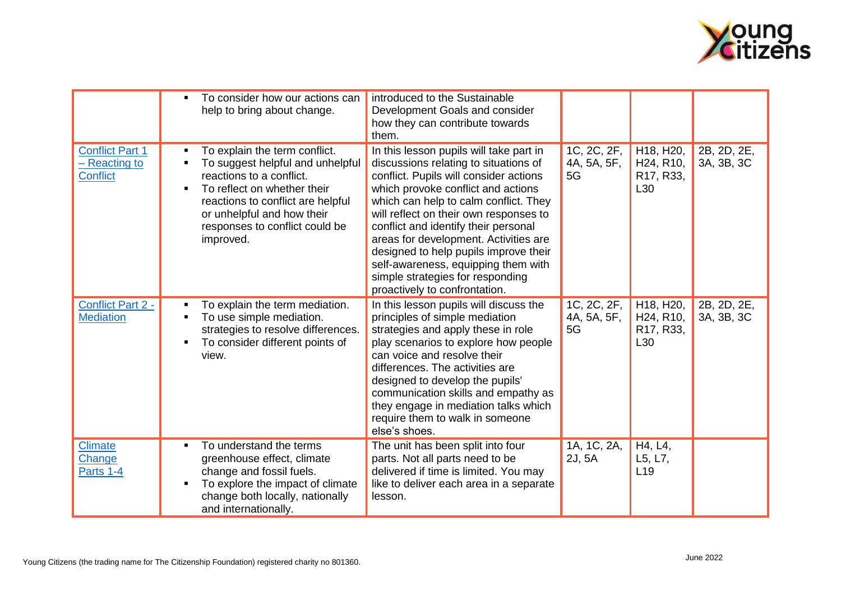

|                                                            | $\blacksquare$      | To consider how our actions can<br>help to bring about change.                                                                                                                                                                                 | introduced to the Sustainable<br>Development Goals and consider<br>how they can contribute towards<br>them.                                                                                                                                                                                                                                                                                                                                                                               |                                  |                                                                                                |                           |
|------------------------------------------------------------|---------------------|------------------------------------------------------------------------------------------------------------------------------------------------------------------------------------------------------------------------------------------------|-------------------------------------------------------------------------------------------------------------------------------------------------------------------------------------------------------------------------------------------------------------------------------------------------------------------------------------------------------------------------------------------------------------------------------------------------------------------------------------------|----------------------------------|------------------------------------------------------------------------------------------------|---------------------------|
| <b>Conflict Part 1</b><br>- Reacting to<br><b>Conflict</b> | $\blacksquare$      | To explain the term conflict.<br>To suggest helpful and unhelpful<br>reactions to a conflict.<br>To reflect on whether their<br>reactions to conflict are helpful<br>or unhelpful and how their<br>responses to conflict could be<br>improved. | In this lesson pupils will take part in<br>discussions relating to situations of<br>conflict. Pupils will consider actions<br>which provoke conflict and actions<br>which can help to calm conflict. They<br>will reflect on their own responses to<br>conflict and identify their personal<br>areas for development. Activities are<br>designed to help pupils improve their<br>self-awareness, equipping them with<br>simple strategies for responding<br>proactively to confrontation. | 1C, 2C, 2F,<br>4A, 5A, 5F,<br>5G | H18, H20,<br>H <sub>24</sub> , R <sub>10</sub> ,<br>R <sub>17</sub> , R <sub>33</sub> ,<br>L30 | 2B, 2D, 2E,<br>3A, 3B, 3C |
| Conflict Part 2 -<br><b>Mediation</b>                      | Ξ<br>$\blacksquare$ | To explain the term mediation.<br>To use simple mediation.<br>strategies to resolve differences.<br>To consider different points of<br>view.                                                                                                   | In this lesson pupils will discuss the<br>principles of simple mediation<br>strategies and apply these in role<br>play scenarios to explore how people<br>can voice and resolve their<br>differences. The activities are<br>designed to develop the pupils'<br>communication skills and empathy as<br>they engage in mediation talks which<br>require them to walk in someone<br>else's shoes.                                                                                            | 1C, 2C, 2F,<br>4A, 5A, 5F,<br>5G | H18, H20,<br>H <sub>24</sub> , R <sub>10</sub> ,<br>R <sub>17</sub> , R <sub>33</sub> ,<br>L30 | 2B, 2D, 2E,<br>3A, 3B, 3C |
| <b>Climate</b><br>Change<br>Parts 1-4                      | ٠                   | To understand the terms<br>greenhouse effect, climate<br>change and fossil fuels.<br>To explore the impact of climate<br>change both locally, nationally<br>and internationally.                                                               | The unit has been split into four<br>parts. Not all parts need to be<br>delivered if time is limited. You may<br>like to deliver each area in a separate<br>lesson.                                                                                                                                                                                                                                                                                                                       | 1A, 1C, 2A,<br>2J, 5A            | H4, L4,<br>L5, L7,<br>L19                                                                      |                           |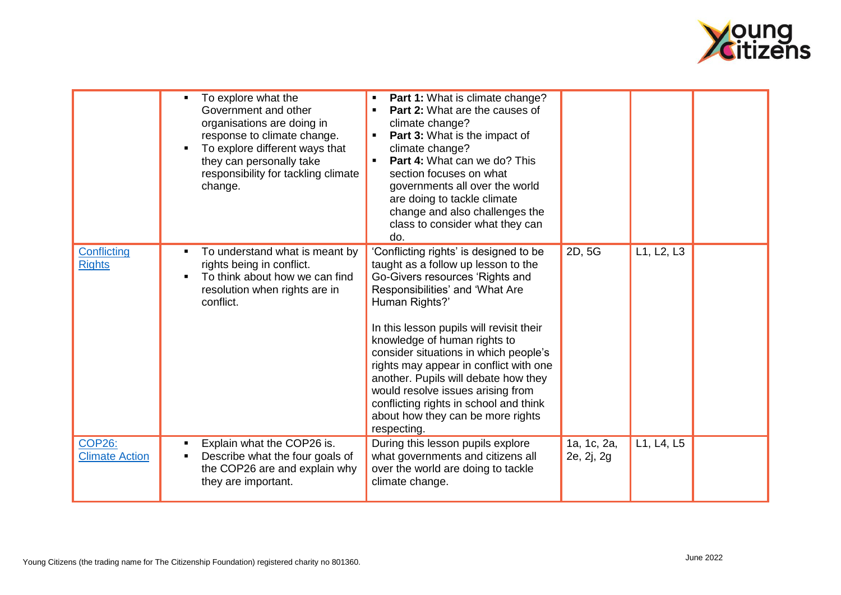

|                                        | To explore what the<br>Government and other<br>organisations are doing in<br>response to climate change.<br>To explore different ways that<br>they can personally take<br>responsibility for tackling climate<br>change. | Part 1: What is climate change?<br>п<br>Part 2: What are the causes of<br>$\blacksquare$<br>climate change?<br>Part 3: What is the impact of<br>٠<br>climate change?<br>Part 4: What can we do? This<br>$\blacksquare$<br>section focuses on what<br>governments all over the world<br>are doing to tackle climate<br>change and also challenges the<br>class to consider what they can<br>do.                                                                                                                  |                           |            |
|----------------------------------------|--------------------------------------------------------------------------------------------------------------------------------------------------------------------------------------------------------------------------|-----------------------------------------------------------------------------------------------------------------------------------------------------------------------------------------------------------------------------------------------------------------------------------------------------------------------------------------------------------------------------------------------------------------------------------------------------------------------------------------------------------------|---------------------------|------------|
| Conflicting<br><b>Rights</b>           | To understand what is meant by<br>rights being in conflict.<br>To think about how we can find<br>resolution when rights are in<br>conflict.                                                                              | 'Conflicting rights' is designed to be<br>taught as a follow up lesson to the<br>Go-Givers resources 'Rights and<br>Responsibilities' and 'What Are<br>Human Rights?'<br>In this lesson pupils will revisit their<br>knowledge of human rights to<br>consider situations in which people's<br>rights may appear in conflict with one<br>another. Pupils will debate how they<br>would resolve issues arising from<br>conflicting rights in school and think<br>about how they can be more rights<br>respecting. | 2D, 5G                    | L1, L2, L3 |
| <b>COP26:</b><br><b>Climate Action</b> | Explain what the COP26 is.<br>Describe what the four goals of<br>the COP26 are and explain why<br>they are important.                                                                                                    | During this lesson pupils explore<br>what governments and citizens all<br>over the world are doing to tackle<br>climate change.                                                                                                                                                                                                                                                                                                                                                                                 | 1a, 1c, 2a,<br>2e, 2j, 2g | L1, L4, L5 |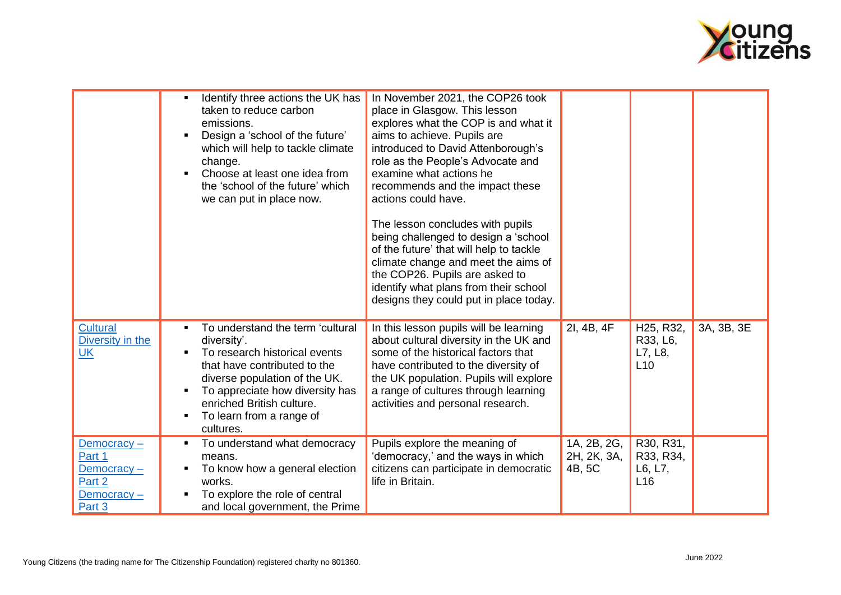

|                                                                      | Identify three actions the UK has<br>taken to reduce carbon<br>emissions.<br>Design a 'school of the future'<br>٠<br>which will help to tackle climate<br>change.<br>Choose at least one idea from<br>the 'school of the future' which<br>we can put in place now. | In November 2021, the COP26 took<br>place in Glasgow. This lesson<br>explores what the COP is and what it<br>aims to achieve. Pupils are<br>introduced to David Attenborough's<br>role as the People's Advocate and<br>examine what actions he<br>recommends and the impact these<br>actions could have.<br>The lesson concludes with pupils<br>being challenged to design a 'school<br>of the future' that will help to tackle<br>climate change and meet the aims of<br>the COP26. Pupils are asked to<br>identify what plans from their school<br>designs they could put in place today. |                                      |                                                                   |            |
|----------------------------------------------------------------------|--------------------------------------------------------------------------------------------------------------------------------------------------------------------------------------------------------------------------------------------------------------------|---------------------------------------------------------------------------------------------------------------------------------------------------------------------------------------------------------------------------------------------------------------------------------------------------------------------------------------------------------------------------------------------------------------------------------------------------------------------------------------------------------------------------------------------------------------------------------------------|--------------------------------------|-------------------------------------------------------------------|------------|
| <b>Cultural</b><br>Diversity in the<br><u>UK</u>                     | To understand the term 'cultural<br>diversity'.<br>To research historical events<br>that have contributed to the<br>diverse population of the UK.<br>To appreciate how diversity has<br>enriched British culture.<br>To learn from a range of<br>cultures.         | In this lesson pupils will be learning<br>about cultural diversity in the UK and<br>some of the historical factors that<br>have contributed to the diversity of<br>the UK population. Pupils will explore<br>a range of cultures through learning<br>activities and personal research.                                                                                                                                                                                                                                                                                                      | 2I, 4B, 4F                           | H <sub>25</sub> , R <sub>32</sub> ,<br>R33, L6,<br>L7, L8,<br>L10 | 3A, 3B, 3E |
| Democracy-<br>Part 1<br>Democracy-<br>Part 2<br>Democracy-<br>Part 3 | To understand what democracy<br>means.<br>To know how a general election<br>works.<br>To explore the role of central<br>and local government, the Prime                                                                                                            | Pupils explore the meaning of<br>'democracy,' and the ways in which<br>citizens can participate in democratic<br>life in Britain.                                                                                                                                                                                                                                                                                                                                                                                                                                                           | 1A, 2B, 2G,<br>2H, 2K, 3A,<br>4B, 5C | R30, R31,<br>R33, R34,<br>L6, L7,<br>L16                          |            |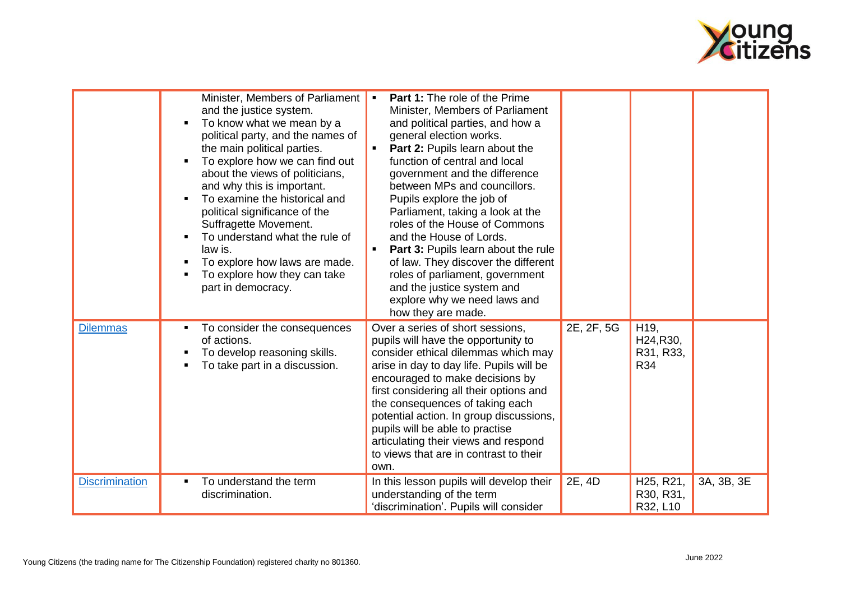

|                       | Minister, Members of Parliament<br>and the justice system.<br>To know what we mean by a<br>political party, and the names of<br>the main political parties.<br>To explore how we can find out<br>about the views of politicians,<br>and why this is important.<br>To examine the historical and<br>political significance of the<br>Suffragette Movement.<br>To understand what the rule of<br>law is.<br>To explore how laws are made.<br>To explore how they can take<br>part in democracy. | <b>Part 1:</b> The role of the Prime<br>Minister, Members of Parliament<br>and political parties, and how a<br>general election works.<br>Part 2: Pupils learn about the<br>function of central and local<br>government and the difference<br>between MPs and councillors.<br>Pupils explore the job of<br>Parliament, taking a look at the<br>roles of the House of Commons<br>and the House of Lords.<br><b>Part 3: Pupils learn about the rule</b><br>of law. They discover the different<br>roles of parliament, government<br>and the justice system and<br>explore why we need laws and<br>how they are made. |            |                                                              |            |
|-----------------------|-----------------------------------------------------------------------------------------------------------------------------------------------------------------------------------------------------------------------------------------------------------------------------------------------------------------------------------------------------------------------------------------------------------------------------------------------------------------------------------------------|---------------------------------------------------------------------------------------------------------------------------------------------------------------------------------------------------------------------------------------------------------------------------------------------------------------------------------------------------------------------------------------------------------------------------------------------------------------------------------------------------------------------------------------------------------------------------------------------------------------------|------------|--------------------------------------------------------------|------------|
| <b>Dilemmas</b>       | To consider the consequences<br>of actions.<br>To develop reasoning skills.<br>To take part in a discussion.                                                                                                                                                                                                                                                                                                                                                                                  | Over a series of short sessions,<br>pupils will have the opportunity to<br>consider ethical dilemmas which may<br>arise in day to day life. Pupils will be<br>encouraged to make decisions by<br>first considering all their options and<br>the consequences of taking each<br>potential action. In group discussions,<br>pupils will be able to practise<br>articulating their views and respond<br>to views that are in contrast to their<br>own.                                                                                                                                                                 | 2E, 2F, 5G | H <sub>19</sub> ,<br>H24, R30,<br>R31, R33,<br>R34           |            |
| <b>Discrimination</b> | To understand the term<br>discrimination.                                                                                                                                                                                                                                                                                                                                                                                                                                                     | In this lesson pupils will develop their<br>understanding of the term<br>'discrimination'. Pupils will consider                                                                                                                                                                                                                                                                                                                                                                                                                                                                                                     | 2E, 4D     | H <sub>25</sub> , R <sub>21</sub> ,<br>R30, R31,<br>R32, L10 | 3A, 3B, 3E |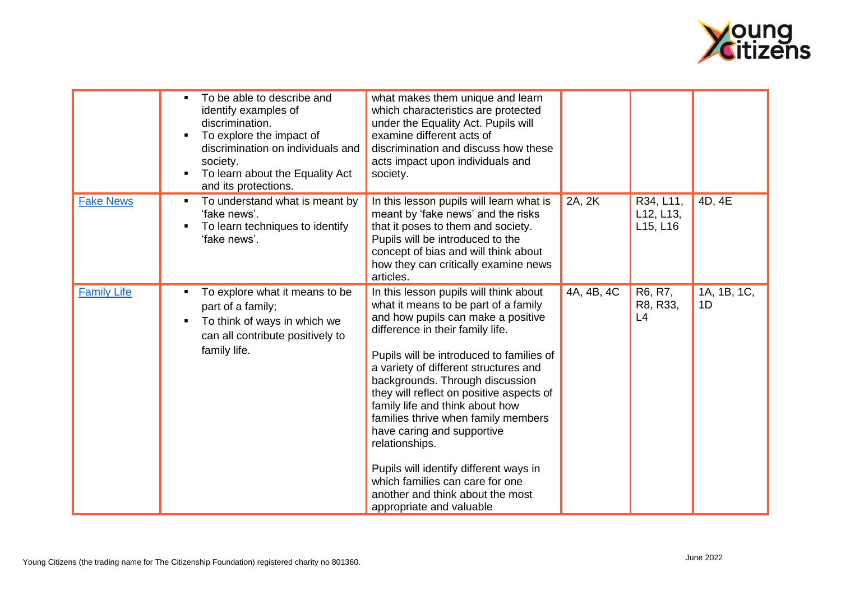

|                    |                | To be able to describe and<br>identify examples of<br>discrimination.<br>To explore the impact of<br>discrimination on individuals and<br>society.<br>To learn about the Equality Act<br>and its protections. | what makes them unique and learn<br>which characteristics are protected<br>under the Equality Act. Pupils will<br>examine different acts of<br>discrimination and discuss how these<br>acts impact upon individuals and<br>society.                                                                                                                                                                                                                                                                                                                                                                 |            |                                                              |                   |
|--------------------|----------------|---------------------------------------------------------------------------------------------------------------------------------------------------------------------------------------------------------------|-----------------------------------------------------------------------------------------------------------------------------------------------------------------------------------------------------------------------------------------------------------------------------------------------------------------------------------------------------------------------------------------------------------------------------------------------------------------------------------------------------------------------------------------------------------------------------------------------------|------------|--------------------------------------------------------------|-------------------|
| <b>Fake News</b>   | $\blacksquare$ | To understand what is meant by<br>'fake news'.<br>To learn techniques to identify<br>'fake news'.                                                                                                             | In this lesson pupils will learn what is<br>meant by 'fake news' and the risks<br>that it poses to them and society.<br>Pupils will be introduced to the<br>concept of bias and will think about<br>how they can critically examine news<br>articles.                                                                                                                                                                                                                                                                                                                                               | 2A, 2K     | R34, L11,<br>L <sub>12</sub> , L <sub>13</sub> ,<br>L15, L16 | 4D, 4E            |
| <b>Family Life</b> |                | To explore what it means to be<br>part of a family;<br>To think of ways in which we<br>can all contribute positively to<br>family life.                                                                       | In this lesson pupils will think about<br>what it means to be part of a family<br>and how pupils can make a positive<br>difference in their family life.<br>Pupils will be introduced to families of<br>a variety of different structures and<br>backgrounds. Through discussion<br>they will reflect on positive aspects of<br>family life and think about how<br>families thrive when family members<br>have caring and supportive<br>relationships.<br>Pupils will identify different ways in<br>which families can care for one<br>another and think about the most<br>appropriate and valuable | 4A, 4B, 4C | R6, R7,<br>R8, R33,<br>L4                                    | 1A, 1B, 1C,<br>1D |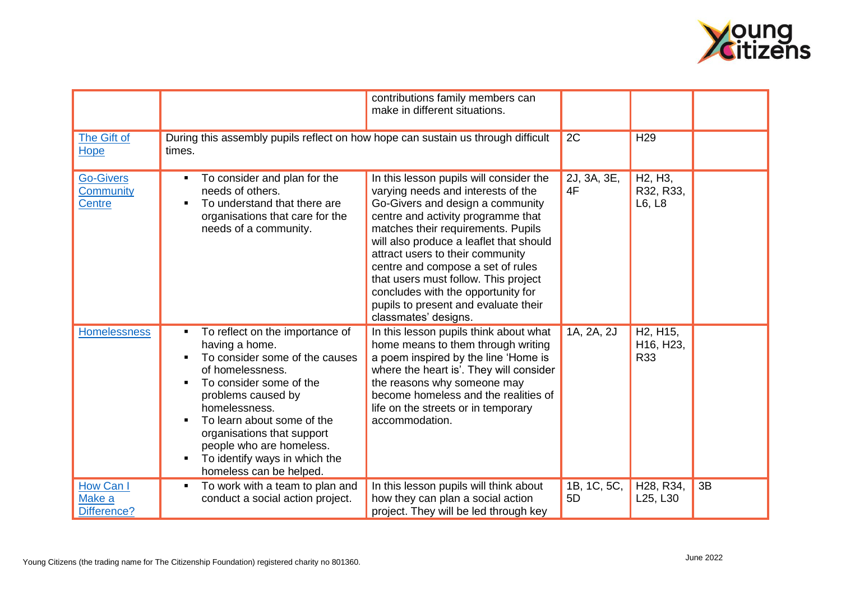

|                                         |                                                                                                                                                                                                                                                                                                                                                           | contributions family members can                                                                                                                                                                                                                                                                                                                                                                                                                                |                   |                                                                                  |    |
|-----------------------------------------|-----------------------------------------------------------------------------------------------------------------------------------------------------------------------------------------------------------------------------------------------------------------------------------------------------------------------------------------------------------|-----------------------------------------------------------------------------------------------------------------------------------------------------------------------------------------------------------------------------------------------------------------------------------------------------------------------------------------------------------------------------------------------------------------------------------------------------------------|-------------------|----------------------------------------------------------------------------------|----|
|                                         |                                                                                                                                                                                                                                                                                                                                                           | make in different situations.                                                                                                                                                                                                                                                                                                                                                                                                                                   |                   |                                                                                  |    |
| The Gift of<br>Hope                     | During this assembly pupils reflect on how hope can sustain us through difficult<br>times.                                                                                                                                                                                                                                                                |                                                                                                                                                                                                                                                                                                                                                                                                                                                                 | 2C                | H <sub>29</sub>                                                                  |    |
| <b>Go-Givers</b><br>Community<br>Centre | To consider and plan for the<br>$\blacksquare$<br>needs of others.<br>To understand that there are<br>$\blacksquare$<br>organisations that care for the<br>needs of a community.                                                                                                                                                                          | In this lesson pupils will consider the<br>varying needs and interests of the<br>Go-Givers and design a community<br>centre and activity programme that<br>matches their requirements. Pupils<br>will also produce a leaflet that should<br>attract users to their community<br>centre and compose a set of rules<br>that users must follow. This project<br>concludes with the opportunity for<br>pupils to present and evaluate their<br>classmates' designs. | 2J, 3A, 3E,<br>4F | H <sub>2</sub> , H <sub>3</sub> ,<br>R32, R33,<br>L6, L8                         |    |
| <b>Homelessness</b>                     | To reflect on the importance of<br>٠<br>having a home.<br>To consider some of the causes<br>of homelessness.<br>To consider some of the<br>problems caused by<br>homelessness.<br>To learn about some of the<br>$\blacksquare$<br>organisations that support<br>people who are homeless.<br>To identify ways in which the<br>п<br>homeless can be helped. | In this lesson pupils think about what<br>home means to them through writing<br>a poem inspired by the line 'Home is<br>where the heart is'. They will consider<br>the reasons why someone may<br>become homeless and the realities of<br>life on the streets or in temporary<br>accommodation.                                                                                                                                                                 | 1A, 2A, 2J        | H <sub>2</sub> , H <sub>15</sub> ,<br>H <sub>16</sub> , H <sub>23</sub> ,<br>R33 |    |
| How Can I<br>Make a<br>Difference?      | To work with a team to plan and<br>$\blacksquare$<br>conduct a social action project.                                                                                                                                                                                                                                                                     | In this lesson pupils will think about<br>how they can plan a social action<br>project. They will be led through key                                                                                                                                                                                                                                                                                                                                            | 1B, 1C, 5C,<br>5D | H <sub>28</sub> , R <sub>34</sub> ,<br>L <sub>25</sub> , L <sub>30</sub>         | 3B |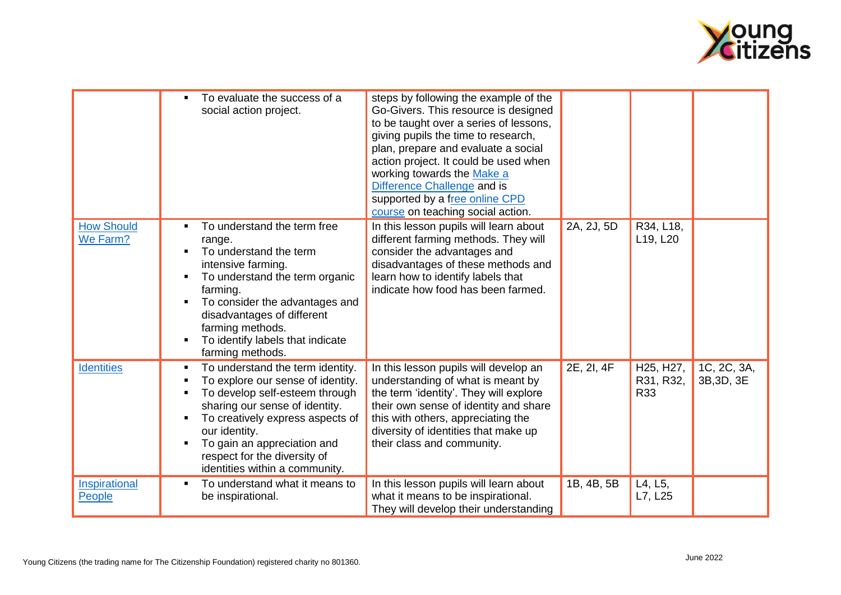

|                               | To evaluate the success of a<br>social action project.                                                                                                                                                                                                                                          | steps by following the example of the<br>Go-Givers. This resource is designed<br>to be taught over a series of lessons,<br>giving pupils the time to research,<br>plan, prepare and evaluate a social<br>action project. It could be used when<br>working towards the Make a<br>Difference Challenge and is<br>supported by a free online CPD<br>course on teaching social action. |            |                               |                           |
|-------------------------------|-------------------------------------------------------------------------------------------------------------------------------------------------------------------------------------------------------------------------------------------------------------------------------------------------|------------------------------------------------------------------------------------------------------------------------------------------------------------------------------------------------------------------------------------------------------------------------------------------------------------------------------------------------------------------------------------|------------|-------------------------------|---------------------------|
| <b>How Should</b><br>We Farm? | To understand the term free<br>range.<br>To understand the term<br>intensive farming.<br>To understand the term organic<br>farming.<br>To consider the advantages and<br>disadvantages of different<br>farming methods.<br>To identify labels that indicate<br>farming methods.                 | In this lesson pupils will learn about<br>different farming methods. They will<br>consider the advantages and<br>disadvantages of these methods and<br>learn how to identify labels that<br>indicate how food has been farmed.                                                                                                                                                     | 2A, 2J, 5D | R34, L18,<br>L19, L20         |                           |
| <b>Identities</b>             | To understand the term identity.<br>To explore our sense of identity.<br>To develop self-esteem through<br>sharing our sense of identity.<br>To creatively express aspects of<br>our identity.<br>To gain an appreciation and<br>respect for the diversity of<br>identities within a community. | In this lesson pupils will develop an<br>understanding of what is meant by<br>the term 'identity'. They will explore<br>their own sense of identity and share<br>this with others, appreciating the<br>diversity of identities that make up<br>their class and community.                                                                                                          | 2E, 2I, 4F | H25, H27,<br>R31, R32,<br>R33 | 1C, 2C, 3A,<br>3B, 3D, 3E |
| Inspirational<br>People       | To understand what it means to<br>be inspirational.                                                                                                                                                                                                                                             | In this lesson pupils will learn about<br>what it means to be inspirational.<br>They will develop their understanding                                                                                                                                                                                                                                                              | 1B, 4B, 5B | L4, L5,<br>L7, L25            |                           |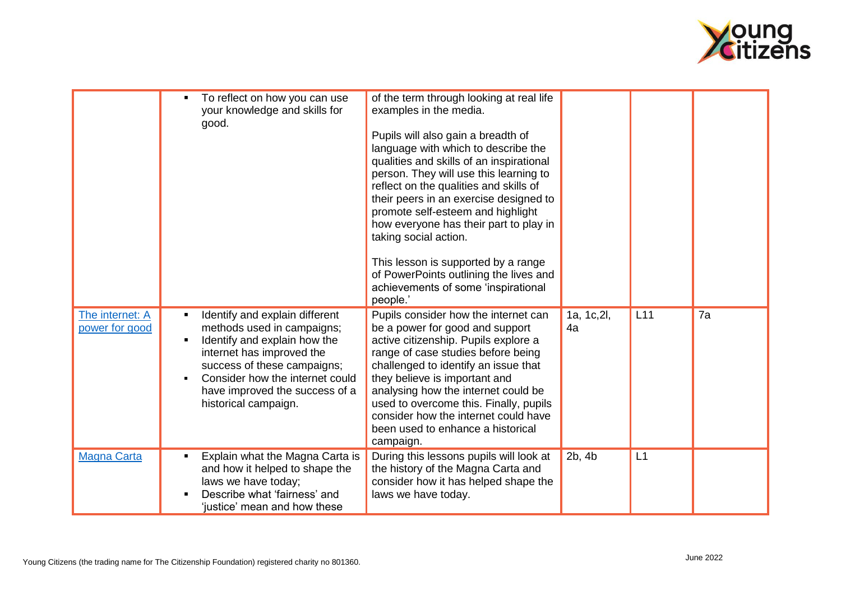

|                                   |                | To reflect on how you can use<br>your knowledge and skills for<br>good.                                                                                                                                                                               | of the term through looking at real life<br>examples in the media.<br>Pupils will also gain a breadth of<br>language with which to describe the<br>qualities and skills of an inspirational<br>person. They will use this learning to<br>reflect on the qualities and skills of<br>their peers in an exercise designed to<br>promote self-esteem and highlight<br>how everyone has their part to play in<br>taking social action.<br>This lesson is supported by a range<br>of PowerPoints outlining the lives and<br>achievements of some 'inspirational<br>people.' |                   |     |    |
|-----------------------------------|----------------|-------------------------------------------------------------------------------------------------------------------------------------------------------------------------------------------------------------------------------------------------------|-----------------------------------------------------------------------------------------------------------------------------------------------------------------------------------------------------------------------------------------------------------------------------------------------------------------------------------------------------------------------------------------------------------------------------------------------------------------------------------------------------------------------------------------------------------------------|-------------------|-----|----|
| The internet: A<br>power for good | $\blacksquare$ | Identify and explain different<br>methods used in campaigns;<br>Identify and explain how the<br>internet has improved the<br>success of these campaigns;<br>Consider how the internet could<br>have improved the success of a<br>historical campaign. | Pupils consider how the internet can<br>be a power for good and support<br>active citizenship. Pupils explore a<br>range of case studies before being<br>challenged to identify an issue that<br>they believe is important and<br>analysing how the internet could be<br>used to overcome this. Finally, pupils<br>consider how the internet could have<br>been used to enhance a historical<br>campaign.                                                                                                                                                             | 1a, 1c, 2l,<br>4a | L11 | 7a |
| <b>Magna Carta</b>                | $\blacksquare$ | Explain what the Magna Carta is<br>and how it helped to shape the<br>laws we have today;<br>Describe what 'fairness' and<br>'justice' mean and how these                                                                                              | During this lessons pupils will look at<br>the history of the Magna Carta and<br>consider how it has helped shape the<br>laws we have today.                                                                                                                                                                                                                                                                                                                                                                                                                          | 2b, 4b            | L1  |    |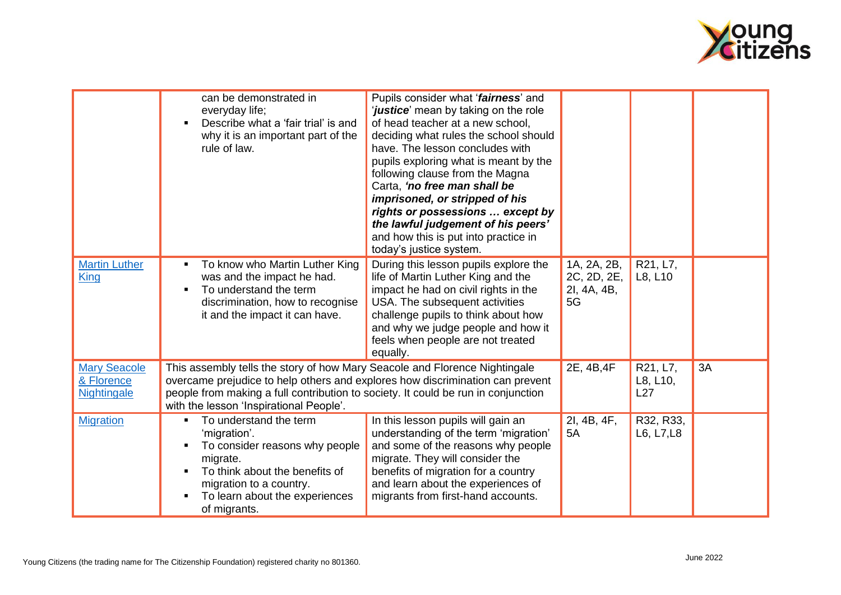

|                                                  | can be demonstrated in<br>everyday life;<br>Describe what a 'fair trial' is and<br>why it is an important part of the<br>rule of law.                                                                                                                                                       | Pupils consider what 'fairness' and<br><i>justice</i> ' mean by taking on the role<br>of head teacher at a new school,<br>deciding what rules the school should<br>have. The lesson concludes with<br>pupils exploring what is meant by the<br>following clause from the Magna<br>Carta, 'no free man shall be<br>imprisoned, or stripped of his<br>rights or possessions  except by<br>the lawful judgement of his peers'<br>and how this is put into practice in |                                                 |                             |    |
|--------------------------------------------------|---------------------------------------------------------------------------------------------------------------------------------------------------------------------------------------------------------------------------------------------------------------------------------------------|--------------------------------------------------------------------------------------------------------------------------------------------------------------------------------------------------------------------------------------------------------------------------------------------------------------------------------------------------------------------------------------------------------------------------------------------------------------------|-------------------------------------------------|-----------------------------|----|
| <b>Martin Luther</b><br><b>King</b>              | To know who Martin Luther King<br>was and the impact he had.<br>To understand the term<br>discrimination, how to recognise<br>it and the impact it can have.                                                                                                                                | today's justice system.<br>During this lesson pupils explore the<br>life of Martin Luther King and the<br>impact he had on civil rights in the<br>USA. The subsequent activities<br>challenge pupils to think about how<br>and why we judge people and how it<br>feels when people are not treated<br>equally.                                                                                                                                                     | 1A, 2A, 2B,<br>2C, 2D, 2E,<br>2I, 4A, 4B,<br>5G | R21, L7,<br>L8, L10         |    |
| <b>Mary Seacole</b><br>& Florence<br>Nightingale | This assembly tells the story of how Mary Seacole and Florence Nightingale<br>overcame prejudice to help others and explores how discrimination can prevent<br>people from making a full contribution to society. It could be run in conjunction<br>with the lesson 'Inspirational People'. |                                                                                                                                                                                                                                                                                                                                                                                                                                                                    | 2E, 4B, 4F                                      | R21, L7,<br>L8, L10,<br>L27 | 3A |
| <b>Migration</b>                                 | To understand the term<br>$\blacksquare$<br>'migration'.<br>To consider reasons why people<br>migrate.<br>To think about the benefits of<br>migration to a country.<br>To learn about the experiences<br>of migrants.                                                                       | In this lesson pupils will gain an<br>understanding of the term 'migration'<br>and some of the reasons why people<br>migrate. They will consider the<br>benefits of migration for a country<br>and learn about the experiences of<br>migrants from first-hand accounts.                                                                                                                                                                                            | 2I, 4B, 4F,<br>5A                               | R32, R33,<br>L6, L7, L8     |    |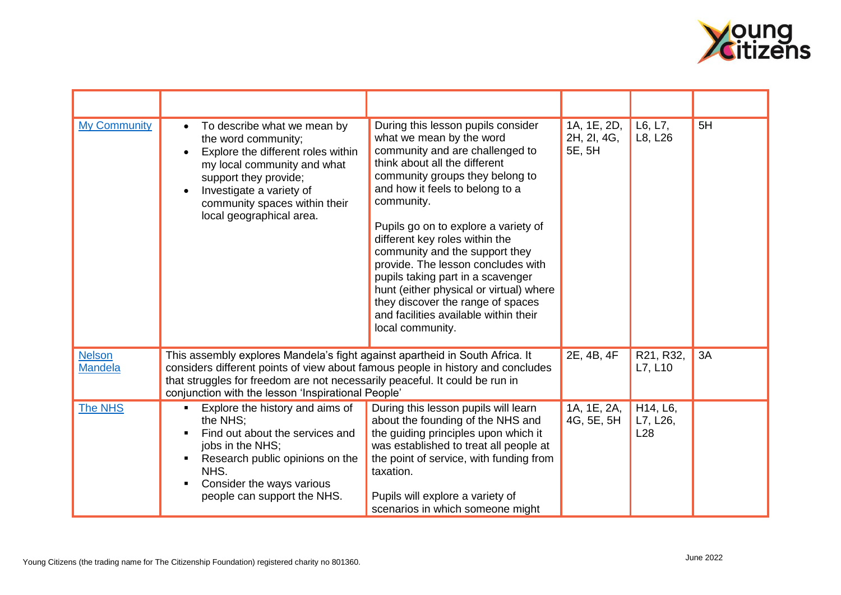

| <b>My Community</b>             | To describe what we mean by<br>$\bullet$<br>the word community;<br>Explore the different roles within<br>my local community and what<br>support they provide;<br>Investigate a variety of<br>community spaces within their<br>local geographical area.                                               | During this lesson pupils consider<br>what we mean by the word<br>community and are challenged to<br>think about all the different<br>community groups they belong to<br>and how it feels to belong to a<br>community.<br>Pupils go on to explore a variety of<br>different key roles within the<br>community and the support they<br>provide. The lesson concludes with<br>pupils taking part in a scavenger<br>hunt (either physical or virtual) where<br>they discover the range of spaces<br>and facilities available within their<br>local community. | 1A, 1E, 2D,<br>2H, 2I, 4G,<br>5E, 5H | L6, L7,<br>L8, L26          | 5H |
|---------------------------------|------------------------------------------------------------------------------------------------------------------------------------------------------------------------------------------------------------------------------------------------------------------------------------------------------|------------------------------------------------------------------------------------------------------------------------------------------------------------------------------------------------------------------------------------------------------------------------------------------------------------------------------------------------------------------------------------------------------------------------------------------------------------------------------------------------------------------------------------------------------------|--------------------------------------|-----------------------------|----|
| <b>Nelson</b><br><b>Mandela</b> | This assembly explores Mandela's fight against apartheid in South Africa. It<br>considers different points of view about famous people in history and concludes<br>that struggles for freedom are not necessarily peaceful. It could be run in<br>conjunction with the lesson 'Inspirational People' |                                                                                                                                                                                                                                                                                                                                                                                                                                                                                                                                                            | 2E, 4B, 4F                           | R21, R32,<br>L7, L10        | 3A |
| The NHS                         | Explore the history and aims of<br>$\blacksquare$<br>the NHS:<br>Find out about the services and<br>jobs in the NHS;<br>Research public opinions on the<br>NHS.<br>Consider the ways various<br>people can support the NHS.                                                                          | During this lesson pupils will learn<br>about the founding of the NHS and<br>the guiding principles upon which it<br>was established to treat all people at<br>the point of service, with funding from<br>taxation.<br>Pupils will explore a variety of<br>scenarios in which someone might                                                                                                                                                                                                                                                                | 1A, 1E, 2A,<br>4G, 5E, 5H            | H14, L6,<br>L7, L26,<br>L28 |    |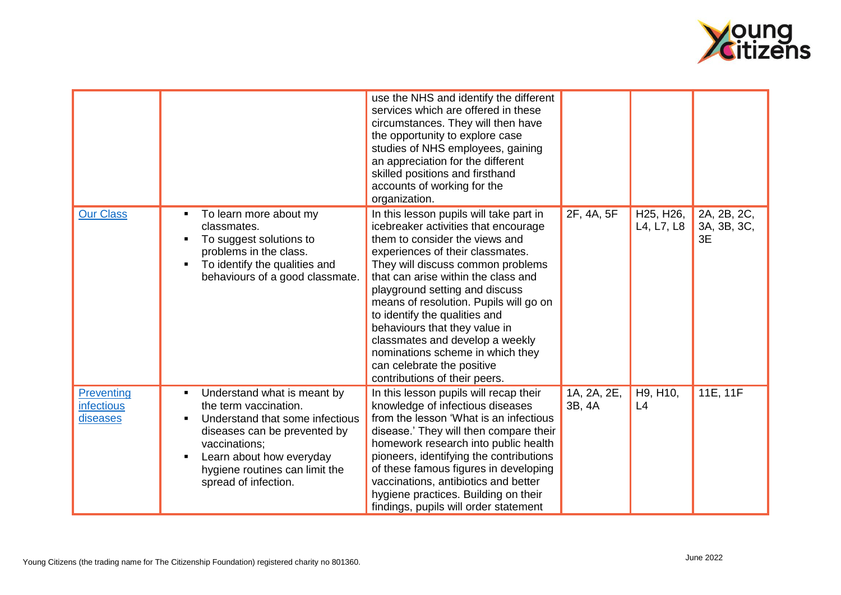

|                                                    |                                                                                                                                                                                                                                          | use the NHS and identify the different<br>services which are offered in these<br>circumstances. They will then have<br>the opportunity to explore case<br>studies of NHS employees, gaining<br>an appreciation for the different<br>skilled positions and firsthand<br>accounts of working for the<br>organization.                                                                                                                                                                                                   |                       |                                                   |                                  |
|----------------------------------------------------|------------------------------------------------------------------------------------------------------------------------------------------------------------------------------------------------------------------------------------------|-----------------------------------------------------------------------------------------------------------------------------------------------------------------------------------------------------------------------------------------------------------------------------------------------------------------------------------------------------------------------------------------------------------------------------------------------------------------------------------------------------------------------|-----------------------|---------------------------------------------------|----------------------------------|
| <b>Our Class</b>                                   | To learn more about my<br>classmates.<br>To suggest solutions to<br>problems in the class.<br>To identify the qualities and<br>behaviours of a good classmate.                                                                           | In this lesson pupils will take part in<br>icebreaker activities that encourage<br>them to consider the views and<br>experiences of their classmates.<br>They will discuss common problems<br>that can arise within the class and<br>playground setting and discuss<br>means of resolution. Pupils will go on<br>to identify the qualities and<br>behaviours that they value in<br>classmates and develop a weekly<br>nominations scheme in which they<br>can celebrate the positive<br>contributions of their peers. | 2F, 4A, 5F            | H <sub>25</sub> , H <sub>26</sub> ,<br>L4, L7, L8 | 2A, 2B, 2C,<br>3A, 3B, 3C,<br>3E |
| <b>Preventing</b><br><b>infectious</b><br>diseases | Understand what is meant by<br>٠<br>the term vaccination.<br>Understand that some infectious<br>diseases can be prevented by<br>vaccinations;<br>Learn about how everyday<br>٠<br>hygiene routines can limit the<br>spread of infection. | In this lesson pupils will recap their<br>knowledge of infectious diseases<br>from the lesson 'What is an infectious<br>disease.' They will then compare their<br>homework research into public health<br>pioneers, identifying the contributions<br>of these famous figures in developing<br>vaccinations, antibiotics and better<br>hygiene practices. Building on their<br>findings, pupils will order statement                                                                                                   | 1A, 2A, 2E,<br>3B, 4A | H9, H10,<br>L4                                    | 11E, 11F                         |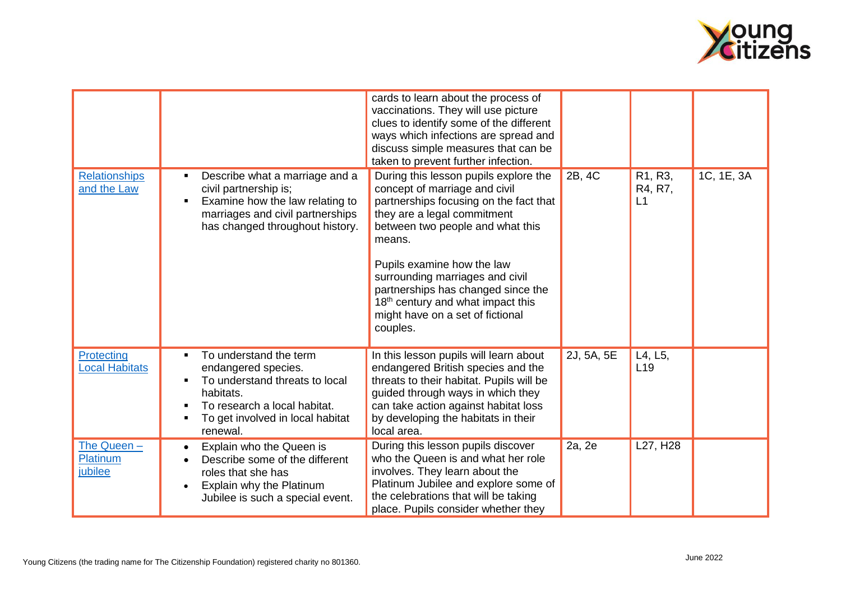

|                                     |                                                                                                                                                                              | cards to learn about the process of<br>vaccinations. They will use picture<br>clues to identify some of the different<br>ways which infections are spread and<br>discuss simple measures that can be<br>taken to prevent further infection.                                                                                                                                                           |            |                                                    |            |
|-------------------------------------|------------------------------------------------------------------------------------------------------------------------------------------------------------------------------|-------------------------------------------------------------------------------------------------------------------------------------------------------------------------------------------------------------------------------------------------------------------------------------------------------------------------------------------------------------------------------------------------------|------------|----------------------------------------------------|------------|
| <b>Relationships</b><br>and the Law | Describe what a marriage and a<br>٠<br>civil partnership is;<br>Examine how the law relating to<br>marriages and civil partnerships<br>has changed throughout history.       | During this lesson pupils explore the<br>concept of marriage and civil<br>partnerships focusing on the fact that<br>they are a legal commitment<br>between two people and what this<br>means.<br>Pupils examine how the law<br>surrounding marriages and civil<br>partnerships has changed since the<br>18 <sup>th</sup> century and what impact this<br>might have on a set of fictional<br>couples. | 2B, 4C     | R <sub>1</sub> , R <sub>3</sub> ,<br>R4, R7,<br>L1 | 1C, 1E, 3A |
| Protecting<br><b>Local Habitats</b> | To understand the term<br>endangered species.<br>To understand threats to local<br>habitats.<br>To research a local habitat.<br>To get involved in local habitat<br>renewal. | In this lesson pupils will learn about<br>endangered British species and the<br>threats to their habitat. Pupils will be<br>guided through ways in which they<br>can take action against habitat loss<br>by developing the habitats in their<br>local area.                                                                                                                                           | 2J, 5A, 5E | L4, L5,<br>L <sub>19</sub>                         |            |
| The Queen -<br>Platinum<br>jubilee  | Explain who the Queen is<br>Describe some of the different<br>roles that she has<br>Explain why the Platinum<br>Jubilee is such a special event.                             | During this lesson pupils discover<br>who the Queen is and what her role<br>involves. They learn about the<br>Platinum Jubilee and explore some of<br>the celebrations that will be taking<br>place. Pupils consider whether they                                                                                                                                                                     | 2a, 2e     | L27, H28                                           |            |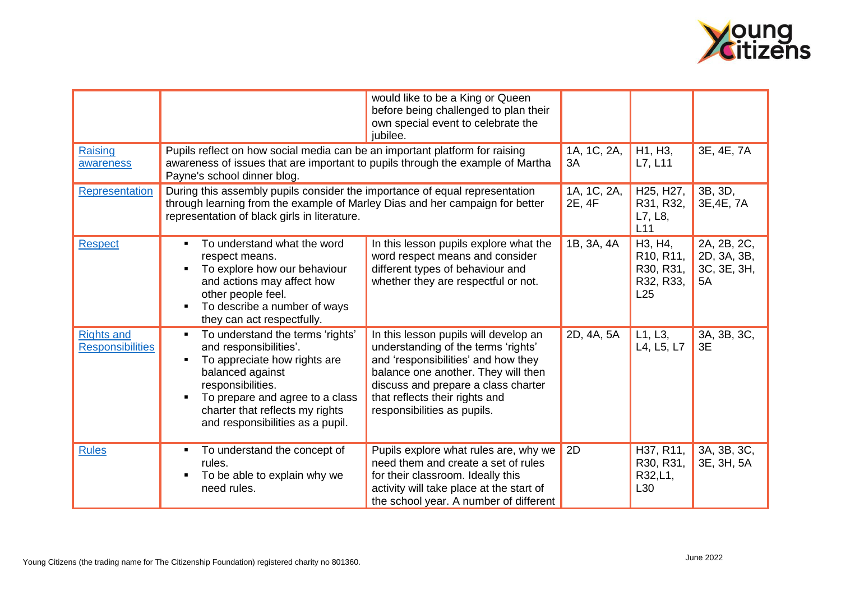

| Raising<br>awareness                         | Pupils reflect on how social media can be an important platform for raising<br>awareness of issues that are important to pupils through the example of Martha                                                                                                   | would like to be a King or Queen<br>before being challenged to plan their<br>own special event to celebrate the<br>jubilee.                                                                                                                                        | 1A, 1C, 2A,<br>3A     | H1, H3,<br>L7, L11                                                                                        | 3E, 4E, 7A                                      |
|----------------------------------------------|-----------------------------------------------------------------------------------------------------------------------------------------------------------------------------------------------------------------------------------------------------------------|--------------------------------------------------------------------------------------------------------------------------------------------------------------------------------------------------------------------------------------------------------------------|-----------------------|-----------------------------------------------------------------------------------------------------------|-------------------------------------------------|
| Representation                               | Payne's school dinner blog.<br>During this assembly pupils consider the importance of equal representation<br>through learning from the example of Marley Dias and her campaign for better<br>representation of black girls in literature.                      |                                                                                                                                                                                                                                                                    | 1A, 1C, 2A,<br>2E, 4F | H <sub>25</sub> , H <sub>27</sub> ,<br>R31, R32,<br>L7, L8,<br>L11                                        | 3B, 3D,<br>3E, 4E, 7A                           |
| <b>Respect</b>                               | To understand what the word<br>٠<br>respect means.<br>To explore how our behaviour<br>and actions may affect how<br>other people feel.<br>To describe a number of ways<br>they can act respectfully.                                                            | In this lesson pupils explore what the<br>word respect means and consider<br>different types of behaviour and<br>whether they are respectful or not.                                                                                                               | 1B, 3A, 4A            | H <sub>3</sub> , H <sub>4</sub> ,<br>R <sub>10</sub> , R <sub>11</sub> ,<br>R30, R31,<br>R32, R33,<br>L25 | 2A, 2B, 2C,<br>2D, 3A, 3B,<br>3C, 3E, 3H,<br>5A |
| <b>Rights and</b><br><b>Responsibilities</b> | To understand the terms 'rights'<br>and responsibilities'.<br>To appreciate how rights are<br>$\blacksquare$<br>balanced against<br>responsibilities.<br>To prepare and agree to a class<br>charter that reflects my rights<br>and responsibilities as a pupil. | In this lesson pupils will develop an<br>understanding of the terms 'rights'<br>and 'responsibilities' and how they<br>balance one another. They will then<br>discuss and prepare a class charter<br>that reflects their rights and<br>responsibilities as pupils. | 2D, 4A, 5A            | L1, L3,<br>L4, L5, L7                                                                                     | 3A, 3B, 3C,<br>3E                               |
| <b>Rules</b>                                 | To understand the concept of<br>٠<br>rules.<br>To be able to explain why we<br>need rules.                                                                                                                                                                      | Pupils explore what rules are, why we<br>need them and create a set of rules<br>for their classroom. Ideally this<br>activity will take place at the start of<br>the school year. A number of different                                                            | 2D                    | H37, R11,<br>R30, R31,<br>R32,L1,<br>L30                                                                  | 3A, 3B, 3C,<br>3E, 3H, 5A                       |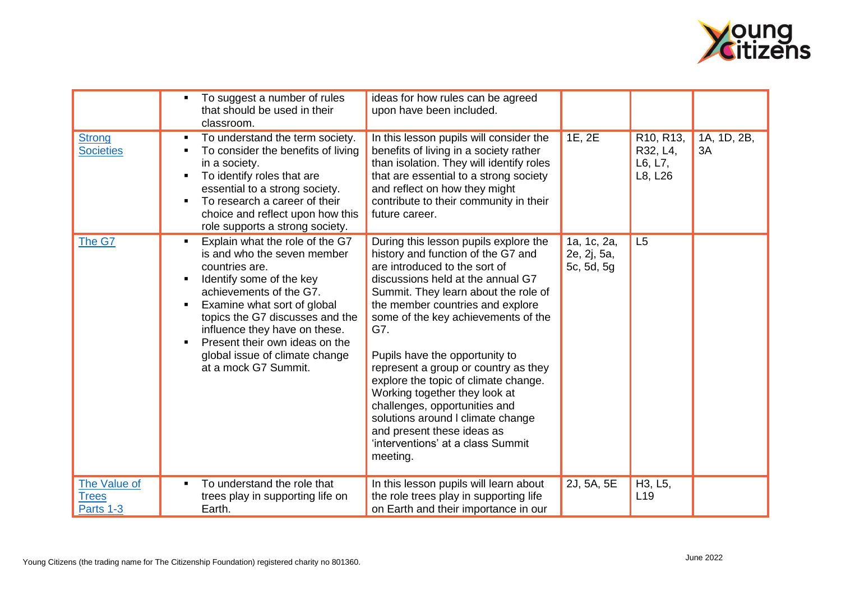

|                                           | To suggest a number of rules<br>that should be used in their<br>classroom.                                                                                                                                                                                                                                                             | ideas for how rules can be agreed<br>upon have been included.                                                                                                                                                                                                                                                                                                                                                                                                                                                                                                                       |                                          |                                             |                   |
|-------------------------------------------|----------------------------------------------------------------------------------------------------------------------------------------------------------------------------------------------------------------------------------------------------------------------------------------------------------------------------------------|-------------------------------------------------------------------------------------------------------------------------------------------------------------------------------------------------------------------------------------------------------------------------------------------------------------------------------------------------------------------------------------------------------------------------------------------------------------------------------------------------------------------------------------------------------------------------------------|------------------------------------------|---------------------------------------------|-------------------|
| <b>Strong</b><br><b>Societies</b>         | To understand the term society.<br>To consider the benefits of living<br>in a society.<br>To identify roles that are<br>essential to a strong society.<br>To research a career of their<br>choice and reflect upon how this<br>role supports a strong society.                                                                         | In this lesson pupils will consider the<br>benefits of living in a society rather<br>than isolation. They will identify roles<br>that are essential to a strong society<br>and reflect on how they might<br>contribute to their community in their<br>future career.                                                                                                                                                                                                                                                                                                                | 1E, 2E                                   | R10, R13,<br>R32, L4,<br>L6, L7,<br>L8, L26 | 1A, 1D, 2B,<br>3A |
| The G7                                    | Explain what the role of the G7<br>is and who the seven member<br>countries are.<br>Identify some of the key<br>achievements of the G7.<br>Examine what sort of global<br>topics the G7 discusses and the<br>influence they have on these.<br>Present their own ideas on the<br>global issue of climate change<br>at a mock G7 Summit. | During this lesson pupils explore the<br>history and function of the G7 and<br>are introduced to the sort of<br>discussions held at the annual G7<br>Summit. They learn about the role of<br>the member countries and explore<br>some of the key achievements of the<br>G7.<br>Pupils have the opportunity to<br>represent a group or country as they<br>explore the topic of climate change.<br>Working together they look at<br>challenges, opportunities and<br>solutions around I climate change<br>and present these ideas as<br>'interventions' at a class Summit<br>meeting. | 1a, 1c, 2a,<br>2e, 2j, 5a,<br>5c, 5d, 5g | L5                                          |                   |
| The Value of<br><b>Trees</b><br>Parts 1-3 | To understand the role that<br>trees play in supporting life on<br>Earth.                                                                                                                                                                                                                                                              | In this lesson pupils will learn about<br>the role trees play in supporting life<br>on Earth and their importance in our                                                                                                                                                                                                                                                                                                                                                                                                                                                            | 2J, 5A, 5E                               | H3, L5,<br>L <sub>19</sub>                  |                   |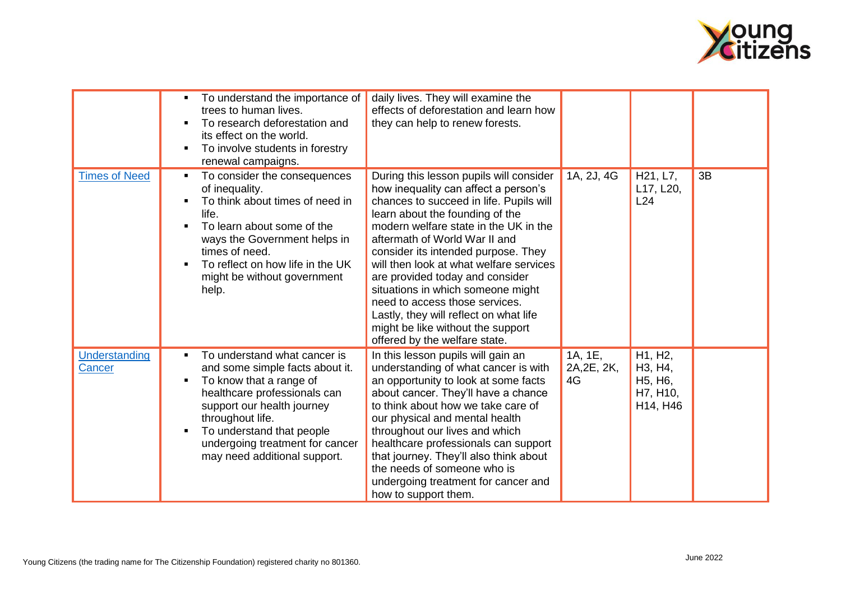

|                         | To understand the importance of<br>trees to human lives.<br>To research deforestation and<br>its effect on the world.<br>To involve students in forestry<br>renewal campaigns.                                                                                                                                   | daily lives. They will examine the<br>effects of deforestation and learn how<br>they can help to renew forests.                                                                                                                                                                                                                                                                                                                                                                                                                                     |                              |                                                                                                           |    |
|-------------------------|------------------------------------------------------------------------------------------------------------------------------------------------------------------------------------------------------------------------------------------------------------------------------------------------------------------|-----------------------------------------------------------------------------------------------------------------------------------------------------------------------------------------------------------------------------------------------------------------------------------------------------------------------------------------------------------------------------------------------------------------------------------------------------------------------------------------------------------------------------------------------------|------------------------------|-----------------------------------------------------------------------------------------------------------|----|
| <b>Times of Need</b>    | To consider the consequences<br>of inequality.<br>To think about times of need in<br>life.<br>To learn about some of the<br>ways the Government helps in<br>times of need.<br>To reflect on how life in the UK<br>might be without government<br>help.                                                           | During this lesson pupils will consider<br>how inequality can affect a person's<br>chances to succeed in life. Pupils will<br>learn about the founding of the<br>modern welfare state in the UK in the<br>aftermath of World War II and<br>consider its intended purpose. They<br>will then look at what welfare services<br>are provided today and consider<br>situations in which someone might<br>need to access those services.<br>Lastly, they will reflect on what life<br>might be like without the support<br>offered by the welfare state. | 1A, 2J, 4G                   | H <sub>21</sub> , L <sub>7</sub> ,<br>L17, L20,<br>L24                                                    | 3B |
| Understanding<br>Cancer | To understand what cancer is<br>$\blacksquare$<br>and some simple facts about it.<br>To know that a range of<br>$\blacksquare$<br>healthcare professionals can<br>support our health journey<br>throughout life.<br>To understand that people<br>undergoing treatment for cancer<br>may need additional support. | In this lesson pupils will gain an<br>understanding of what cancer is with<br>an opportunity to look at some facts<br>about cancer. They'll have a chance<br>to think about how we take care of<br>our physical and mental health<br>throughout our lives and which<br>healthcare professionals can support<br>that journey. They'll also think about<br>the needs of someone who is<br>undergoing treatment for cancer and<br>how to support them.                                                                                                 | 1A, 1E,<br>2A, 2E, 2K,<br>4G | H1, H2,<br>H <sub>3</sub> , H <sub>4</sub> ,<br>H <sub>5</sub> , H <sub>6</sub> ,<br>H7, H10,<br>H14, H46 |    |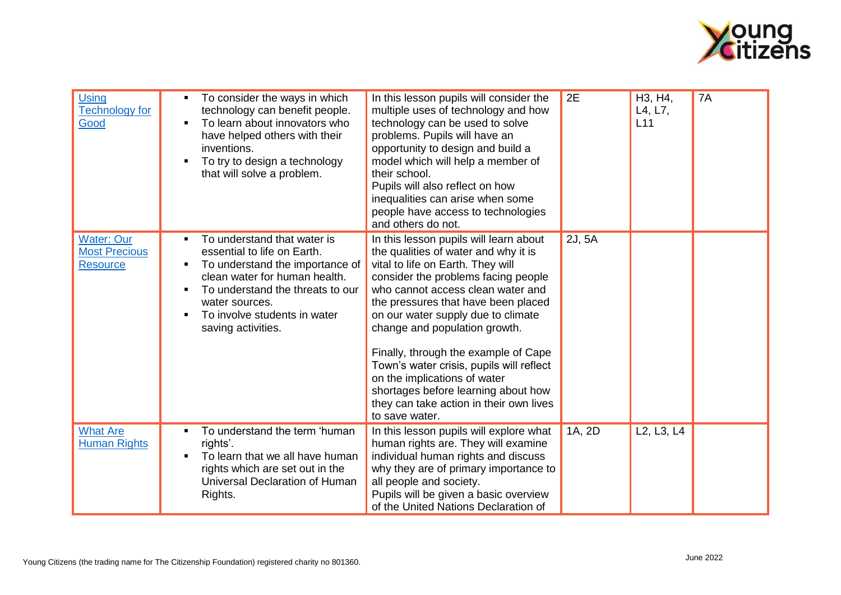

| <b>Using</b><br><b>Technology for</b><br>Good                | To consider the ways in which<br>technology can benefit people.<br>To learn about innovators who<br>have helped others with their<br>inventions.<br>To try to design a technology<br>that will solve a problem.                            | In this lesson pupils will consider the<br>multiple uses of technology and how<br>technology can be used to solve<br>problems. Pupils will have an<br>opportunity to design and build a<br>model which will help a member of<br>their school.<br>Pupils will also reflect on how<br>inequalities can arise when some<br>people have access to technologies<br>and others do not.                                                                                                                                                      | 2E     | H3, H4,<br>L4, L7,<br>L11                        | 7A |
|--------------------------------------------------------------|--------------------------------------------------------------------------------------------------------------------------------------------------------------------------------------------------------------------------------------------|---------------------------------------------------------------------------------------------------------------------------------------------------------------------------------------------------------------------------------------------------------------------------------------------------------------------------------------------------------------------------------------------------------------------------------------------------------------------------------------------------------------------------------------|--------|--------------------------------------------------|----|
| <b>Water: Our</b><br><b>Most Precious</b><br><b>Resource</b> | To understand that water is<br>essential to life on Earth.<br>To understand the importance of<br>clean water for human health.<br>To understand the threats to our<br>water sources.<br>To involve students in water<br>saving activities. | In this lesson pupils will learn about<br>the qualities of water and why it is<br>vital to life on Earth. They will<br>consider the problems facing people<br>who cannot access clean water and<br>the pressures that have been placed<br>on our water supply due to climate<br>change and population growth.<br>Finally, through the example of Cape<br>Town's water crisis, pupils will reflect<br>on the implications of water<br>shortages before learning about how<br>they can take action in their own lives<br>to save water. | 2J, 5A |                                                  |    |
| <b>What Are</b><br><b>Human Rights</b>                       | To understand the term 'human<br>rights'.<br>To learn that we all have human<br>rights which are set out in the<br>Universal Declaration of Human<br>Rights.                                                                               | In this lesson pupils will explore what<br>human rights are. They will examine<br>individual human rights and discuss<br>why they are of primary importance to<br>all people and society.<br>Pupils will be given a basic overview<br>of the United Nations Declaration of                                                                                                                                                                                                                                                            | 1A, 2D | L <sub>2</sub> , L <sub>3</sub> , L <sub>4</sub> |    |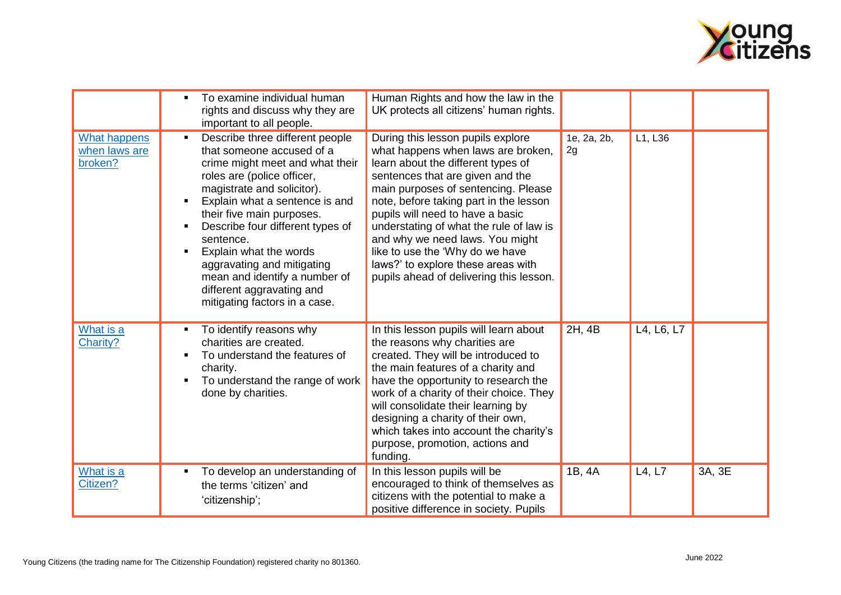

|                                                 | To examine individual human<br>rights and discuss why they are<br>important to all people.                                                                                                                                                                                                                                                                                                                                                           | Human Rights and how the law in the<br>UK protects all citizens' human rights.                                                                                                                                                                                                                                                                                                                                                                                           |                   |            |        |
|-------------------------------------------------|------------------------------------------------------------------------------------------------------------------------------------------------------------------------------------------------------------------------------------------------------------------------------------------------------------------------------------------------------------------------------------------------------------------------------------------------------|--------------------------------------------------------------------------------------------------------------------------------------------------------------------------------------------------------------------------------------------------------------------------------------------------------------------------------------------------------------------------------------------------------------------------------------------------------------------------|-------------------|------------|--------|
| <b>What happens</b><br>when laws are<br>broken? | Describe three different people<br>$\blacksquare$<br>that someone accused of a<br>crime might meet and what their<br>roles are (police officer,<br>magistrate and solicitor).<br>Explain what a sentence is and<br>their five main purposes.<br>Describe four different types of<br>sentence.<br>Explain what the words<br>aggravating and mitigating<br>mean and identify a number of<br>different aggravating and<br>mitigating factors in a case. | During this lesson pupils explore<br>what happens when laws are broken,<br>learn about the different types of<br>sentences that are given and the<br>main purposes of sentencing. Please<br>note, before taking part in the lesson<br>pupils will need to have a basic<br>understating of what the rule of law is<br>and why we need laws. You might<br>like to use the 'Why do we have<br>laws?' to explore these areas with<br>pupils ahead of delivering this lesson. | 1e, 2a, 2b,<br>2g | L1, L36    |        |
| What is a<br>Charity?                           | To identify reasons why<br>charities are created.<br>To understand the features of<br>charity.<br>To understand the range of work<br>done by charities.                                                                                                                                                                                                                                                                                              | In this lesson pupils will learn about<br>the reasons why charities are<br>created. They will be introduced to<br>the main features of a charity and<br>have the opportunity to research the<br>work of a charity of their choice. They<br>will consolidate their learning by<br>designing a charity of their own,<br>which takes into account the charity's<br>purpose, promotion, actions and<br>funding.                                                              | 2H, 4B            | L4, L6, L7 |        |
| What is a<br>Citizen?                           | To develop an understanding of<br>٠<br>the terms 'citizen' and<br>'citizenship';                                                                                                                                                                                                                                                                                                                                                                     | In this lesson pupils will be<br>encouraged to think of themselves as<br>citizens with the potential to make a<br>positive difference in society. Pupils                                                                                                                                                                                                                                                                                                                 | 1B, 4A            | L4, L7     | 3A, 3E |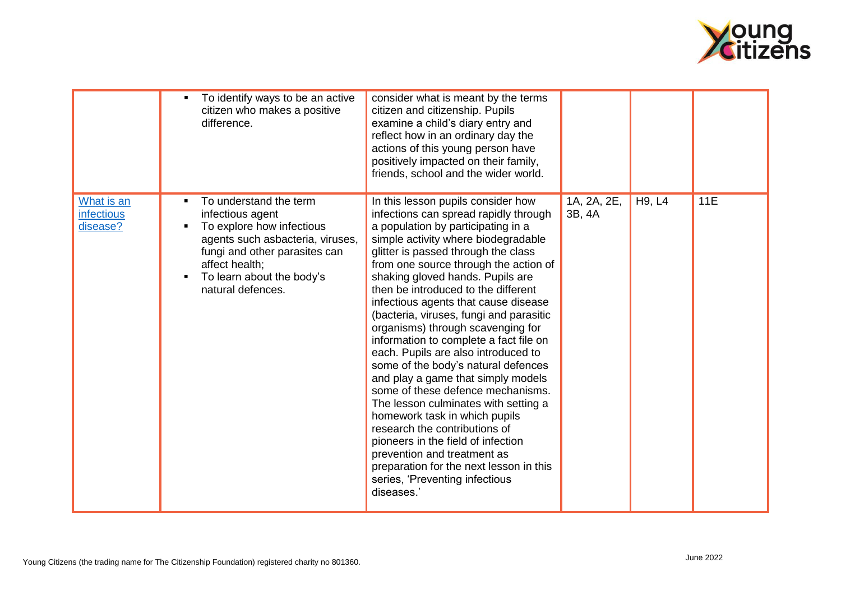

|                                             | To identify ways to be an active<br>citizen who makes a positive<br>difference.                                                                                                                                            | consider what is meant by the terms<br>citizen and citizenship. Pupils<br>examine a child's diary entry and<br>reflect how in an ordinary day the<br>actions of this young person have<br>positively impacted on their family,<br>friends, school and the wider world.                                                                                                                                                                                                                                                                                                                                                                                                                                                                                                                                                                                                                                                   |                       |        |     |
|---------------------------------------------|----------------------------------------------------------------------------------------------------------------------------------------------------------------------------------------------------------------------------|--------------------------------------------------------------------------------------------------------------------------------------------------------------------------------------------------------------------------------------------------------------------------------------------------------------------------------------------------------------------------------------------------------------------------------------------------------------------------------------------------------------------------------------------------------------------------------------------------------------------------------------------------------------------------------------------------------------------------------------------------------------------------------------------------------------------------------------------------------------------------------------------------------------------------|-----------------------|--------|-----|
| What is an<br><b>infectious</b><br>disease? | To understand the term<br>infectious agent<br>To explore how infectious<br>٠<br>agents such asbacteria, viruses,<br>fungi and other parasites can<br>affect health;<br>To learn about the body's<br>٠<br>natural defences. | In this lesson pupils consider how<br>infections can spread rapidly through<br>a population by participating in a<br>simple activity where biodegradable<br>glitter is passed through the class<br>from one source through the action of<br>shaking gloved hands. Pupils are<br>then be introduced to the different<br>infectious agents that cause disease<br>(bacteria, viruses, fungi and parasitic<br>organisms) through scavenging for<br>information to complete a fact file on<br>each. Pupils are also introduced to<br>some of the body's natural defences<br>and play a game that simply models<br>some of these defence mechanisms.<br>The lesson culminates with setting a<br>homework task in which pupils<br>research the contributions of<br>pioneers in the field of infection<br>prevention and treatment as<br>preparation for the next lesson in this<br>series, 'Preventing infectious<br>diseases.' | 1A, 2A, 2E,<br>3B, 4A | H9, L4 | 11E |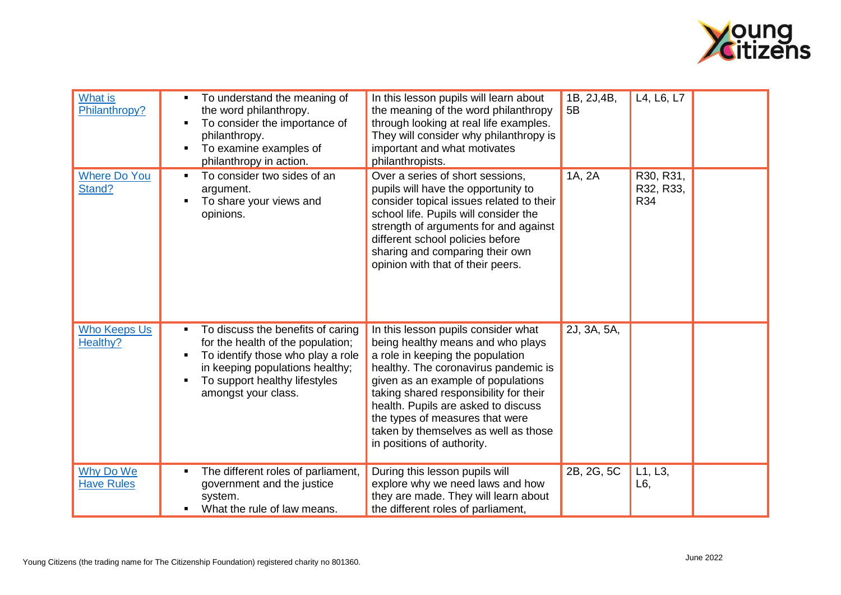

| <b>What is</b><br>Philanthropy? | To understand the meaning of<br>the word philanthropy.<br>To consider the importance of<br>philanthropy.<br>To examine examples of<br>philanthropy in action.                                          | In this lesson pupils will learn about<br>the meaning of the word philanthropy<br>through looking at real life examples.<br>They will consider why philanthropy is<br>important and what motivates<br>philanthropists.                                                                                                                                                               | 1B, 2J, 4B,<br>5B | L4, L6, L7                    |  |
|---------------------------------|--------------------------------------------------------------------------------------------------------------------------------------------------------------------------------------------------------|--------------------------------------------------------------------------------------------------------------------------------------------------------------------------------------------------------------------------------------------------------------------------------------------------------------------------------------------------------------------------------------|-------------------|-------------------------------|--|
| <b>Where Do You</b><br>Stand?   | To consider two sides of an<br>argument.<br>To share your views and<br>opinions.                                                                                                                       | Over a series of short sessions,<br>pupils will have the opportunity to<br>consider topical issues related to their<br>school life. Pupils will consider the<br>strength of arguments for and against<br>different school policies before<br>sharing and comparing their own<br>opinion with that of their peers.                                                                    | 1A, 2A            | R30, R31,<br>R32, R33,<br>R34 |  |
| <b>Who Keeps Us</b><br>Healthy? | To discuss the benefits of caring<br>for the health of the population;<br>To identify those who play a role<br>in keeping populations healthy;<br>To support healthy lifestyles<br>amongst your class. | In this lesson pupils consider what<br>being healthy means and who plays<br>a role in keeping the population<br>healthy. The coronavirus pandemic is<br>given as an example of populations<br>taking shared responsibility for their<br>health. Pupils are asked to discuss<br>the types of measures that were<br>taken by themselves as well as those<br>in positions of authority. | 2J, 3A, 5A,       |                               |  |
| Why Do We<br><b>Have Rules</b>  | The different roles of parliament,<br>government and the justice<br>system.<br>What the rule of law means.                                                                                             | During this lesson pupils will<br>explore why we need laws and how<br>they are made. They will learn about<br>the different roles of parliament,                                                                                                                                                                                                                                     | 2B, 2G, 5C        | L1, L3,<br>L6,                |  |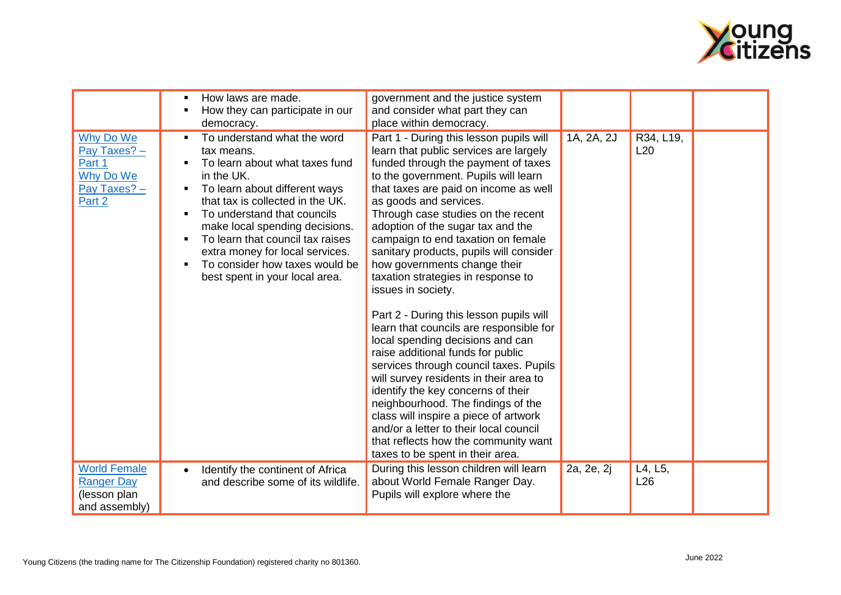

|                                                                            | How laws are made.<br>How they can participate in our<br>democracy.                                                                                                                                                                                                                                                                                                        | government and the justice system<br>and consider what part they can<br>place within democracy.                                                                                                                                                                                                                                                                                                                                                                                                                                                                                                                                                                                                                                                                                                                                                                                                                                                                                           |            |                  |  |
|----------------------------------------------------------------------------|----------------------------------------------------------------------------------------------------------------------------------------------------------------------------------------------------------------------------------------------------------------------------------------------------------------------------------------------------------------------------|-------------------------------------------------------------------------------------------------------------------------------------------------------------------------------------------------------------------------------------------------------------------------------------------------------------------------------------------------------------------------------------------------------------------------------------------------------------------------------------------------------------------------------------------------------------------------------------------------------------------------------------------------------------------------------------------------------------------------------------------------------------------------------------------------------------------------------------------------------------------------------------------------------------------------------------------------------------------------------------------|------------|------------------|--|
| Why Do We<br>Pay Taxes? -<br>Part 1<br>Why Do We<br>Pay Taxes? -<br>Part 2 | To understand what the word<br>tax means.<br>To learn about what taxes fund<br>in the UK.<br>To learn about different ways<br>that tax is collected in the UK.<br>To understand that councils<br>make local spending decisions.<br>To learn that council tax raises<br>extra money for local services.<br>To consider how taxes would be<br>best spent in your local area. | Part 1 - During this lesson pupils will<br>learn that public services are largely<br>funded through the payment of taxes<br>to the government. Pupils will learn<br>that taxes are paid on income as well<br>as goods and services.<br>Through case studies on the recent<br>adoption of the sugar tax and the<br>campaign to end taxation on female<br>sanitary products, pupils will consider<br>how governments change their<br>taxation strategies in response to<br>issues in society.<br>Part 2 - During this lesson pupils will<br>learn that councils are responsible for<br>local spending decisions and can<br>raise additional funds for public<br>services through council taxes. Pupils<br>will survey residents in their area to<br>identify the key concerns of their<br>neighbourhood. The findings of the<br>class will inspire a piece of artwork<br>and/or a letter to their local council<br>that reflects how the community want<br>taxes to be spent in their area. | 1A, 2A, 2J | R34, L19,<br>L20 |  |
| <b>World Female</b>                                                        | Identify the continent of Africa                                                                                                                                                                                                                                                                                                                                           | During this lesson children will learn                                                                                                                                                                                                                                                                                                                                                                                                                                                                                                                                                                                                                                                                                                                                                                                                                                                                                                                                                    | 2a, 2e, 2j | L4, L5,          |  |
| <b>Ranger Day</b>                                                          | and describe some of its wildlife.                                                                                                                                                                                                                                                                                                                                         | about World Female Ranger Day.                                                                                                                                                                                                                                                                                                                                                                                                                                                                                                                                                                                                                                                                                                                                                                                                                                                                                                                                                            |            | L26              |  |
| (lesson plan<br>and assembly)                                              |                                                                                                                                                                                                                                                                                                                                                                            | Pupils will explore where the                                                                                                                                                                                                                                                                                                                                                                                                                                                                                                                                                                                                                                                                                                                                                                                                                                                                                                                                                             |            |                  |  |